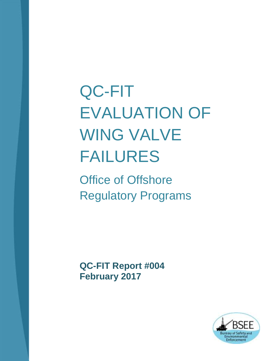# QC-FIT EVALUATION OF WING VALVE FAILURES

Office of Offshore Regulatory Programs

**QC-FIT Report #004 February 2017**

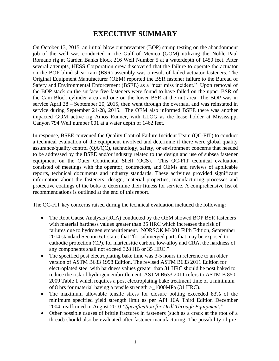# **EXECUTIVE SUMMARY**

On October 13, 2015, an initial blow out preventer (BOP) stump testing on the abandonment job of the well was conducted in the Gulf of Mexico (GOM) utilizing the Noble Paul Romano rig at Garden Banks block 216 Well Number 5 at a waterdepth of 1450 feet. After several attempts, HESS Corporation crew discovered that the failure to operate the actuator on the BOP blind shear ram (BSR) assembly was a result of failed actuator fasteners. The Original Equipment Manufacturer (OEM) reported the BSR fastener failure to the Bureau of Safety and Environmental Enforcement (BSEE) as a "near miss incident." Upon removal of the BOP stack on the surface five fasteners were found to have failed on the upper BSR of the Cam Block cylinder area and one on the lower BSR at the nut area. The BOP was in service April 28 – September 20, 2015, then went through the overhaul and was reinstated in service during September 21-28, 2015. The OEM also informed BSEE there was another impacted GOM active rig Amos Runner, with LLOG as the lease holder at Mississippi Canyon 794 Well number 001 at a water depth of 1462 feet.

In response, BSEE convened the Quality Control Failure Incident Team (QC-FIT) to conduct a technical evaluation of the equipment involved and determine if there were global quality assurance/quality control (QA/QC), technology, safety, or environment concerns that needed to be addressed by the BSEE and/or industry related to the design and use of subsea fastener equipment on the Outer Continental Shelf (OCS). This QC-FIT technical evaluation consisted of meetings with the operator, contractors, and OEMs and reviews of applicable reports, technical documents and industry standards. These activities provided significant information about the fasteners' design, material properties, manufacturing processes and protective coatings of the bolts to determine their fitness for service. A comprehensive list of recommendations is outlined at the end of this report.

The QC-FIT key concerns raised during the technical evaluation included the following:

- The Root Cause Analysis (RCA) conducted by the OEM showed BOP BSR fasteners with material hardness values greater than 35 HRC which increases the risk of failures due to hydrogen emberittlement. NORSOK M-001 Fifth Edition, September 2014 standard Section 6.1 states that "for submerged parts that may be exposed to cathodic protection (CP), for martensitic carbon, low-alloy and CRA, the hardness of any components shall not exceed 328 HB or 35 HRC."
- The specified post electroplating bake time was 3-5 hours in reference to an older version of ASTM B633 1998 Edition. The revised ASTM B633 2011 Edition for electroplated steel with hardness values greater than 31 HRC should be post baked to reduce the risk of hydrogen embrittlement. ASTM B633 2011 refers to ASTM B 850 2009 Table 1 which requires a post electroplating bake treatment time of a minimum of 8 hrs for material having a tensile strength >\_1000MPa (31 HRC).
- The maximum allowable tensile stress for closure bolting exceeded 83% of the minimum specified yield strength limit as per API 16A Third Edition December 2004, reaffirmed in August 2010 *"Specification for Drill Through Equipment."*
- Other possible causes of brittle fractures in fasteners (such as a crack at the root of a thread) should also be evaluated after fastener manufacturing. The possibility of pre-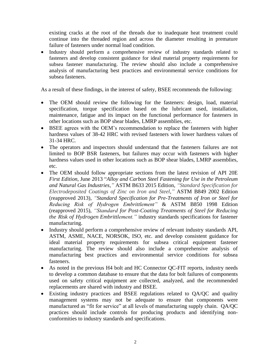existing cracks at the root of the threads due to inadequate heat treatment could continue into the threaded region and across the diameter resulting in premature failure of fasteners under normal load condition.

 Industry should perform a comprehensive review of industry standards related to fasteners and develop consistent guidance for ideal material property requirements for subsea fastener manufacturing. The review should also include a comprehensive analysis of manufacturing best practices and environmental service conditions for subsea fasteners.

As a result of these findings, in the interest of safety, BSEE recommends the following:

- The OEM should review the following for the fasteners: design, load, material specification, torque specification based on the lubricant used, installation, maintenance, fatigue and its impact on the functional performance for fasteners in other locations such as BOP shear blades, LMRP assemblies, etc.
- BSEE agrees with the OEM's recommendation to replace the fasteners with higher hardness values of 38-42 HRC with revised fasteners with lower hardness values of 31-34 HRC.
- The operators and inspectors should understand that the fasteners failures are not limited to BOP BSR fasteners, but failures may occur with fasteners with higher hardness values used in other locations such as BOP shear blades, LMRP assemblies, etc.
- The OEM should follow appropriate sections from the latest revision of API 20E *First Edition,* June 2013 "*Alloy and Carbon Steel Fastening for Use in the Petroleum and Natural Gas Industries,"* ASTM B633 2015 Edition, *"Standard Specification for Electrodeposited Coatings of Zinc on Iron and Steel,"* ASTM B849 2002 Edition (reapproved 2013), *"Standard Specification for Pre-Treatments of Iron or Steel for Reducing Risk of Hydrogen Embrittlement"* & ASTM B850 1998 Edition (reapproved 2015), *"Standard for Post-Coating Treatments of Steel for Reducing the Risk of Hydrogen Embrittlement."* industry standards specifications for fastener manufacturing.
- Industry should perform a comprehensive review of relevant industry standards API, ASTM, ASME, NACE, NORSOK, ISO, etc. and develop consistent guidance for ideal material property requirements for subsea critical equipment fastener manufacturing. The review should also include a comprehensive analysis of manufacturing best practices and environmental service conditions for subsea fasteners.
- As noted in the previous H4 bolt and HC Connector QC-FIT reports, industry needs to develop a common database to ensure that the data for bolt failures of components used on safety critical equipment are collected, analyzed, and the recommended replacements are shared with industry and BSEE.
- Existing industry practices and BSEE regulations related to QA/QC and quality management systems may not be adequate to ensure that components were manufactured as "fit for service" at all levels of manufacturing supply chain. QA/QC practices should include controls for producing products and identifying nonconformities to industry standards and specifications.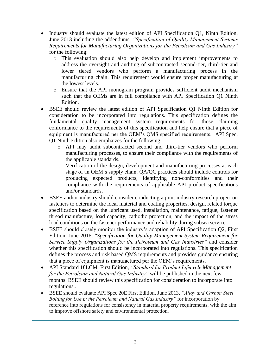- Industry should evaluate the latest edition of API Specification O1, Ninth Edition, June 2013 including the addendums, *"Specification of Quality Management Systems Requirements for Manufacturing Organizations for the Petroleum and Gas Industry"* for the following:
	- o This evaluation should also help develop and implement improvements to address the oversight and auditing of subcontracted second-tier, third-tier and lower tiered vendors who perform a manufacturing process in the manufacturing chain. This requirement would ensure proper manufacturing at the lowest levels.
	- o Ensure that the API monogram program provides sufficient audit mechanism such that the OEMs are in full compliance with API Specification Q1 Ninth Edition.
- BSEE should review the latest edition of API Specification Q1 Ninth Edition for consideration to be incorporated into regulations. This specification defines the fundamental quality management system requirements for those claiming conformance to the requirements of this specification and help ensure that a piece of equipment is manufactured per the OEM's QMS specified requirements. API Spec. Q1 Ninth Edition also emphaizes for the following:
	- o API may audit subcontracted second and third-tier vendors who perform manufacturing processes, to ensure their compliance with the requirements of the applicable standards.
	- o Verification of the design, development and manufacturing processes at each stage of an OEM's supply chain. QA/QC practices should include controls for producing expected products, identifying non-conformities and their compliance with the requirements of applicable API product specifications and/or standards.
- BSEE and/or industry should consider conducting a joint industry research project on fasteners to determine the ideal material and coating properties, design, related torque specification based on the lubricant used, installation, maintenance, fatigue, fastener thread manufacture, load capacity, cathodic protection, and the impact of the stress load conditions on the fastener performance and reliability during subsea service.
- BSEE should closely monitor the industry's adoption of API Specification Q2, First Edition, June 2016, "*Specification for Quality Management System Requirement for Service Supply Organizations for the Petroleum and Gas Industries"* and consider whether this specification should be incorporated into regulations. This specification defines the process and risk based QMS requirements and provides guidance ensuring that a piece of equipment is manufactured per the OEM's requirements.
- API Standard 18LCM, First Edition, *"Standard for Product Lifecycle Management for the Petroleum and Natural Gas Industry"* will be published in the next few months. BSEE should review this specification for consideration to incorporate into regulations..
- BSEE should evaluate API Spec 20E First Edition, June 2013, *"Alloy and Carbon Steel Bolting for Use in the Petroleum and Natural Gas Industry"* for incorporation by reference into regulations for consistency in material property requirements, with the aim to improve offshore safety and environmental protection.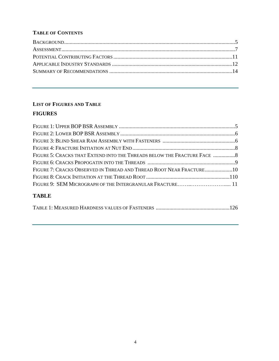## **TABLE OF CONTENTS**

# **LIST OF FIGURES AND TABLE**

# **FIGURES**

| FIGURE 5: CRACKS THAT EXTEND INTO THE THREADS BELOW THE FRACTURE FACE  8 |  |
|--------------------------------------------------------------------------|--|
|                                                                          |  |
| FIGURE 7: CRACKS OBSERVED IN THREAD AND THREAD ROOT NEAR FRACTURE10      |  |
|                                                                          |  |
|                                                                          |  |
| <b>TARLE</b>                                                             |  |

## **TABLE**

|--|--|--|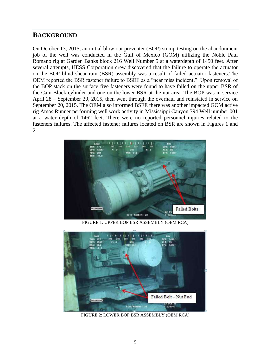# <span id="page-5-0"></span>**BACKGROUND**

On October 13, 2015, an initial blow out preventer (BOP) stump testing on the abandonment job of the well was conducted in the Gulf of Mexico (GOM) utilizing the Noble Paul Romano rig at Garden Banks block 216 Well Number 5 at a waterdepth of 1450 feet. After several attempts, HESS Corporation crew discovered that the failure to operate the actuator on the BOP blind shear ram (BSR) assembly was a result of failed actuator fasteners.The OEM reported the BSR fastener failure to BSEE as a "near miss incident." Upon removal of the BOP stack on the surface five fasteners were found to have failed on the upper BSR of the Cam Block cylinder and one on the lower BSR at the nut area. The BOP was in service April 28 – September 20, 2015, then went through the overhaul and reinstated in service on September 20, 2015. The OEM also informed BSEE there was another impacted GOM active rig Amos Runner performing well work activity in Mississippi Canyon 794 Well number 001 at a water depth of 1462 feet. There were no reported personnel injuries related to the fasteners failures. The affected fastener failures located on BSR are shown in Figures 1 and 2.



FIGURE 1: UPPER BOP BSR ASSEMBLY (OEM RCA)



FIGURE 2: LOWER BOP BSR ASSEMBLY (OEM RCA)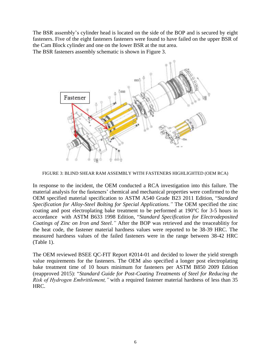The BSR assembly's cylinder head is located on the side of the BOP and is secured by eight fasteners. Five of the eight fasteners fasteners were found to have failed on the upper BSR of the Cam Block cylinder and one on the lower BSR at the nut area. The BSR fasteners assembly schematic is shown in Figure 3.



FIGURE 3: BLIND SHEAR RAM ASSEMBLY WITH FASTENERS HIGHLIGHTED (OEM RCA)

In response to the incident, the OEM conducted a RCA investigation into this failure. The material analysis for the fasteners' chemical and mechanical properties were confirmed to the OEM specified material specification to ASTM A540 Grade B23 2011 Edition, "*Standard Specification for Alloy-Steel Bolting for Special Applications."* The OEM specified the zinc coating and post electroplating bake treatment to be performed at 190°C for 3-5 hours in accordance with ASTM B633 1998 Edition, "*Standard Specification for Electrodeposited Coatings of Zinc on Iron and Steel."* After the BOP was retrieved and the treaceablitiy for the heat code, the fastener material hardness values were reported to be 38-39 HRC. The measured hardness values of the failed fasteners were in the range between 38-42 HRC (Table 1).

The OEM reviewed BSEE QC-FIT Report #2014-01 and decided to lower the yield strength value requirements for the fasteners. The OEM also specified a longer post electroplating bake treatment time of 10 hours minimum for fasteners per ASTM B850 2009 Edition (reapproved 2015): "*Standard Guide for Post-Coating Treatments of Steel for Reducing the Risk of Hydrogen Embrittlement,"* with a required fastener material hardness of less than 35 HRC.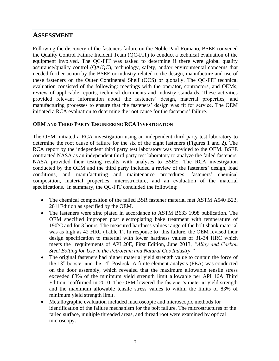# <span id="page-7-0"></span>**ASSESSMENT**

Following the discovery of the fasteners failure on the Noble Paul Romano, BSEE convened the Quality Control Failure Incident Team (QC-FIT) to conduct a technical evaluation of the equipment involved. The QC-FIT was tasked to determine if there were global quality assurance/quality control (QA/QC), technology, safety, and/or environmental concerns that needed further action by the BSEE or industry related to the design, manufacture and use of these fasteners on the Outer Continental Shelf (OCS) or globally. The QC-FIT technical evaluation consisted of the following: meetings with the operator, contractors, and OEMs; review of applicable reports, technical documents and industry standards. These activities provided relevant information about the fasteners' design, material properties, and manufacturing processes to ensure that the fasteners' design was fit for service. The OEM initiated a RCA evaluation to determine the root cause for the fasteners' failure.

#### **OEM AND THIRD PARTY ENGINEERING RCA INVESTIGATION**

The OEM initiated a RCA investigation using an independent third party test laboratory to determine the root cause of failure for the six of the eight fasteners (Figures 1 and 2). The RCA report by the independent third party test laboratory was provided to the OEM. BSEE contracted NASA as an independent third party test laboratory to analyze the failed fasteners. NASA provided their testing results with analyses to BSEE. The RCA investigation conducted by the OEM and the third party included a review of the fasteners' design, load conditions, and manufacturing and maintenance procedures, fasteners' chemical composition, material properties, microstructure, and an evaluation of the material specifications. In summary, the QC-FIT concluded the following:

- The chemical composition of the failed BSR fastener material met ASTM A540 B23, 2011Edition as specified by the OEM.
- The fasteners were zinc plated in accordance to ASTM B633 1998 publication. The OEM specified improper post electroplating bake treatment with temperature of  $190^{\circ}$ C and for 3 hours. The measured hardness values range of the bolt shank material was as high as 42 HRC (Table 1). In response to this failure, the OEM revised their design specification to material with lower hardness values of 31-34 HRC which meets the requirements of API 20E, First Edition, June 2013, *"Alloy and Carbon Steel Bolting for Use in the Petroleum and Natural Gas Industry."*
- The original fasteners had higher material yield strength value to contain the force of the 18" booster and the 14" Poslock. A finite element analysis (FEA) was conducted on the door assembly, which revealed that the maximum allowable tensile stress exceeded 83% of the minimum yield strength limit allowable per API 16A Third Edition, reaffirmed in 2010. The OEM lowered the fastener's material yield strength and the maximum allowable tensile stress values to within the limits of 83% of minimum yield strength limit.
- Metallographic evaluation included macroscopic and microscopic methods for identification of the failure mechanism for the bolt failure. The microstructures of the failed surface, multiple threaded areas, and thread root were examined by optical microscopy.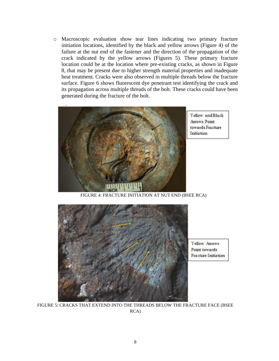o Macroscopic evaluation show tear lines indicating two primary fracture initiation locations, identified by the black and yellow arrows (Figure 4) of the failure at the nut end of the fastener and the direction of the propagation of the crack indicated by the yellow arrows (Figures 5). These primary fracture location could be at the location where pre-existing cracks, as shown in Figure 8, that may be present due to higher strength material properties and inadequate heat treatment. Cracks were also observed in multiple threads below the fracture surface. Figure 6 shows fluorescent dye penetrant test identifying the crack and its propagation across multiple threads of the bolt. These cracks could have been generated during the fracture of the bolt.



FIGURE 4: FRACTURE INITIATION AT NUT END (BSEE RCA)



FIGURE 5: CRACKS THAT EXTEND INTO THE THREADS BELOW THE FRACTURE FACE (BSEE RCA)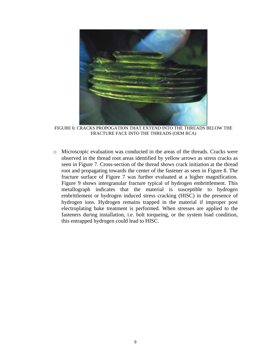

FIGURE 6: CRACKS PROPOGATION THAT EXTEND INTO THE THREADS BELOW THE FRACTURE FACE INTO THE THREADS (OEM RCA)

o Microscopic evaluation was conducted in the areas of the threads. Cracks were observed in the thread root areas identified by yellow arrows as stress cracks as seen in Figure 7. Cross-section of the thread shows crack initiation at the thread root and propagating towards the center of the fastener as seen in Figure 8. The fracture surface of Figure 7 was further evaluated at a higher magnification. Figure 9 shows intergranular fracture typical of hydrogen embrittlement. This metallograph indicates that the material is susceptible to hydrogen embrittlement or hydrogen induced stress cracking (HISC) in the presence of hydrogen ions. Hydrogen remains trapped in the material if improper post electroplating bake treatment is performed. When stresses are applied to the fasteners during installation, i.e. bolt torqueing, or the system load condition, this entrapped hydrogen could lead to HISC.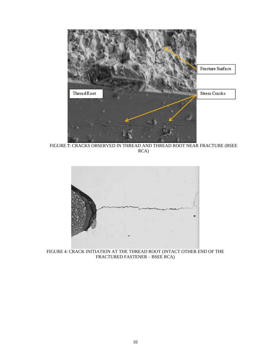

FIGURE **7**: CRACKS OBSERVED IN THREAD AND THREAD ROOT NEAR FRACTURE (BSEE RCA)



FIGURE 4: CRACK INITIATION AT THE THREAD ROOT (INTACT OTHER END OF THE FRACTURED FASTENER – BSEE RCA)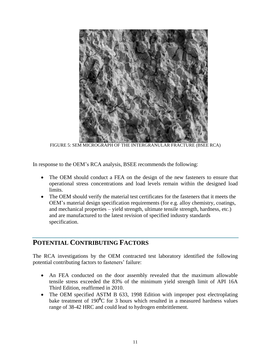

FIGURE 5: SEM MICROGRAPH OF THE INTERGRANULAR FRACTURE (BSEE RCA)

In response to the OEM's RCA analysis, BSEE recommends the following:

- The OEM should conduct a FEA on the design of the new fasteners to ensure that operational stress concentrations and load levels remain within the designed load limits.
- The OEM should verify the material test certificates for the fasteners that it meets the OEM's material design specification requirements (for e.g. alloy chemistry, coatings, and mechanical properties – yield strength, ultimate tensile strength, hardness, etc.) and are manufactured to the latest revision of specified industry standards specification.

# <span id="page-11-0"></span>**POTENTIAL CONTRIBUTING FACTORS**

The RCA investigations by the OEM contracted test laboratory identified the following potential contributing factors to fasteners' failure:

- An FEA conducted on the door assembly revealed that the maximum allowable tensile stress exceeded the 83% of the minimum yield strength limit of API 16A Third Edition, reaffirmed in 2010.
- The OEM specified ASTM B 633, 1998 Edition with improper post electroplating bake treatment of 190<sup>0</sup>C for 3 hours which resulted in a measured hardness values range of 38-42 HRC and could lead to hydrogen embrittlement.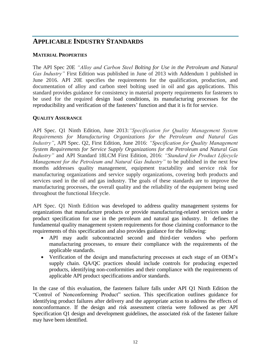# <span id="page-12-0"></span>**APPLICABLE INDUSTRY STANDARDS**

#### **MATERIAL PROPERTIES**

The API Spec 20E *"Alloy and Carbon Steel Bolting for Use in the Petroleum and Natural Gas Industry"* First Edition was published in June of 2013 with Addendum 1 published in June 2016. API 20E specifies the requirements for the qualification, production, and documentation of alloy and carbon steel bolting used in oil and gas applications. This standard provides guidance for consistency in material property requirements for fasteners to be used for the required design load conditions, its manufacturing processes for the reproducibility and verification of the fasteners' function and that it is fit for service.

#### **QUALITY ASSURANCE**

API Spec. Q1 Ninth Edition, June 2013:*"Specification for Quality Management System Requirements for Manufacturing Organizations for the Petroleum and Natural Gas Industry"*, API Spec. Q2, First Edition, June 2016: *"Specification for Quality Management System Requirements for Service Supply Organizations for the Petroleum and Natural Gas Industry"* and API Standard 18LCM First Edition, 2016: *"Standard for Product Lifecycle Management for the Petroleum and Natural Gas Industry"* to be published in the next few months addresses quality management, equipment tractability and service risk for manufacturing organizations and service supply organizations, covering both products and services used in the oil and gas industry. The goals of these standards are to improve the manufacturing processes, the overall quality and the reliability of the equipment being used throughout the functional lifecycle.

API Spec. Q1 Ninth Edition was developed to address quality management systems for organizations that manufacture products or provide manufacturing-related services under a product specification for use in the petroleum and natural gas industry. It defines the fundamental quality management system requirements for those claiming conformance to the requirements of this specification and also provides guidance for the following:

- API may audit subcontracted second and third-tier vendors who perform manufacturing processes, to ensure their compliance with the requirements of the applicable standards.
- Verification of the design and manufacturing processes at each stage of an OEM's supply chain. QA/QC practices should include controls for producing expected products, identifying non-conformities and their compliance with the requirements of applicable API product specifications and/or standards.

In the case of this evaluation, the fasteners failure falls under API Q1 Ninth Edition the "Control of Nonconforming Product" section. This specification outlines guidance for identifying product failures after delivery and the appropriate action to address the effects of nonconformance. If the design and risk assessment criteria were followed as per API Specification Q1 design and development guidelines, the associated risk of the fastener failure may have been identified.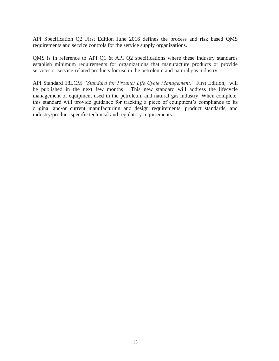API Specification Q2 First Edition June 2016 defines the process and risk based QMS requirements and service controls for the service supply organizations.

QMS is in reference to API Q1 & API Q2 specifications where these industry standards establish minimum requirements for organizations that manufacture products or provide services or service-related products for use in the petroleum and natural gas industry.

API Standard 18LCM *"Standard for Product Life Cycle Management,"* First Edition, will be published in the next few months . This new standard will address the lifecycle management of equipment used in the petroleum and natural gas industry. When complete, this standard will provide guidance for tracking a piece of equipment's compliance to its original and/or current manufacturing and design requirements, product standards, and industry/product-specific technical and regulatory requirements.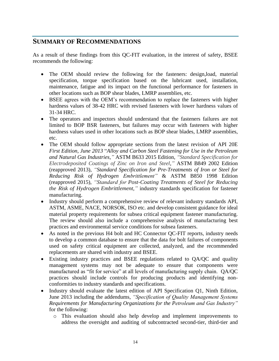## <span id="page-14-0"></span>**SUMMARY OF RECOMMENDATIONS**

As a result of these findings from this QC-FIT evaluation, in the interest of safety, BSEE recommends the following:

- The OEM should review the following for the fasteners: design,load, material specification, torque specification based on the lubricant used, installation, maintenance, fatigue and its impact on the functional performance for fasteners in other locations such as BOP shear blades, LMRP assemblies, etc.
- BSEE agrees with the OEM's recommendation to replace the fasteners with higher hardness values of 38-42 HRC with revised fasteners with lower hardness values of 31-34 HRC.
- The operators and inspectors should understand that the fasteners failures are not limited to BOP BSR fasteners, but failures may occur with fasteners with higher hardness values used in other locations such as BOP shear blades, LMRP assemblies, etc.
- The OEM should follow appropriate sections from the latest revision of API 20E *First Edition, June 2013* "*Alloy and Carbon Steel Fastening for Use in the Petroleum and Natural Gas Industries,"* ASTM B633 2015 Edition, *"Standard Specification for Electrodeposited Coatings of Zinc on Iron and Steel,"* ASTM B849 2002 Edition (reapproved 2013), *"Standard Specification for Pre-Treatments of Iron or Steel for Reducing Risk of Hydrogen Embrittlement"* & ASTM B850 1998 Edition (reapproved 2015), *"Standard for Post-Coating Treatments of Steel for Reducing the Risk of Hydrogen Embrittlement,"* industry standards specification for fastener manufacturing.
- Industry should perform a comprehensive review of relevant industry standards API, ASTM, ASME, NACE, NORSOK, ISO etc. and develop consistent guidance for ideal material property requirements for subsea critical equipment fastener manufacturing. The review should also include a comprehensive analysis of manufacturing best practices and environmental service conditions for subsea fasteners.
- As noted in the previous H4 bolt and HC Connector QC-FIT reports, industry needs to develop a common database to ensure that the data for bolt failures of components used on safety critical equipment are collected, analyzed, and the recommended replacements are shared with industry and BSEE.
- Existing industry practices and BSEE regulations related to QA/QC and quality management systems may not be adequate to ensure that components were manufactured as "fit for service" at all levels of manufacturing supply chain. QA/QC practices should include controls for producing products and identifying nonconformities to industry standards and specifications.
- Industry should evaluate the latest edition of API Specification Q1, Ninth Edition, June 2013 including the addendums, *"Specification of Quality Management Systems Requirements for Manufacturing Organizations for the Petroleum and Gas Industry"* for the following:
	- o This evaluation should also help develop and implement improvements to address the oversight and auditing of subcontracted second-tier, third-tier and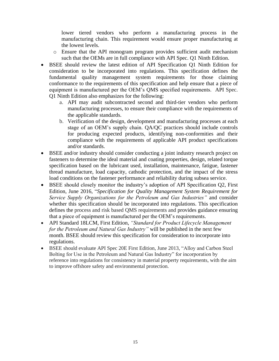lower tiered vendors who perform a manufacturing process in the manufacturing chain. This requirement would ensure proper manufacturing at the lowest levels.

- o Ensure that the API monogram program provides sufficient audit mechanism such that the OEMs are in full compliance with API Spec. Q1 Ninth Edition.
- BSEE should review the latest edition of API Specification Q1 Ninth Edition for consideration to be incorporated into regulations. This specification defines the fundamental quality management system requirements for those claiming conformance to the requirements of this specification and help ensure that a piece of equipment is manufactured per the OEM's QMS specified requirements. API Spec. Q1 Ninth Edition also emphasizes for the following:
	- a. API may audit subcontracted second and third-tier vendors who perform manufacturing processes, to ensure their compliance with the requirements of the applicable standards.
	- b. Verification of the design, development and manufacturing processes at each stage of an OEM's supply chain. QA/QC practices should include controls for producing expected products, identifying non-conformities and their compliance with the requirements of applicable API product specifications and/or standards.
- BSEE and/or industry should consider conducting a joint industry research project on fasteners to determine the ideal material and coating properties, design, related torque specification based on the lubricant used, installation, maintenance, fatigue, fastener thread manufacture, load capacity, cathodic protection, and the impact of the stress load conditions on the fastener performance and reliability during subsea service.
- BSEE should closely monitor the industry's adoption of API Specification Q2, First Edition, June 2016, "*Specification for Quality Management System Requirement for Service Supply Organizations for the Petroleum and Gas Industries"* and consider whether this specification should be incorporated into regulations. This specification defines the process and risk based QMS requirements and provides guidance ensuring that a piece of equipment is manufactured per the OEM's requirements.
- API Standard 18LCM, First Edition, *"Standard for Product Lifecycle Management for the Petroleum and Natural Gas Industry"* will be published in the next few month. BSEE should review this specification for consideration to incorporate into regulations.
- BSEE should evaluate API Spec 20E First Edition, June 2013, "Alloy and Carbon Steel Bolting for Use in the Petroleum and Natural Gas Industry" for incorporation by reference into regulations for consistency in material property requirements, with the aim to improve offshore safety and environmental protection.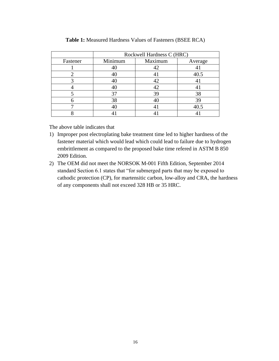|          | Rockwell Hardness C (HRC) |         |         |
|----------|---------------------------|---------|---------|
| Fastener | Minimum                   | Maximum | Average |
|          |                           | 42      |         |
|          |                           | 4       | 40.5    |
|          |                           | 42      |         |
|          |                           | 42      |         |
|          | 37                        | 39      | 38      |
|          | 38                        |         | 39      |
|          | 40                        | 4       | 40.5    |
|          |                           |         |         |

**Table 1:** Measured Hardness Values of Fasteners (BSEE RCA)

The above table indicates that

- 1) Improper post electroplating bake treatment time led to higher hardness of the fastener material which would lead which could lead to failure due to hydrogen embrittlement as compared to the proposed bake time refered in ASTM B 850 2009 Edition.
- 2) The OEM did not meet the NORSOK M-001 Fifth Edition, September 2014 standard Section 6.1 states that "for submerged parts that may be exposed to cathodic protection (CP), for martensitic carbon, low-alloy and CRA, the hardness of any components shall not exceed 328 HB or 35 HRC.